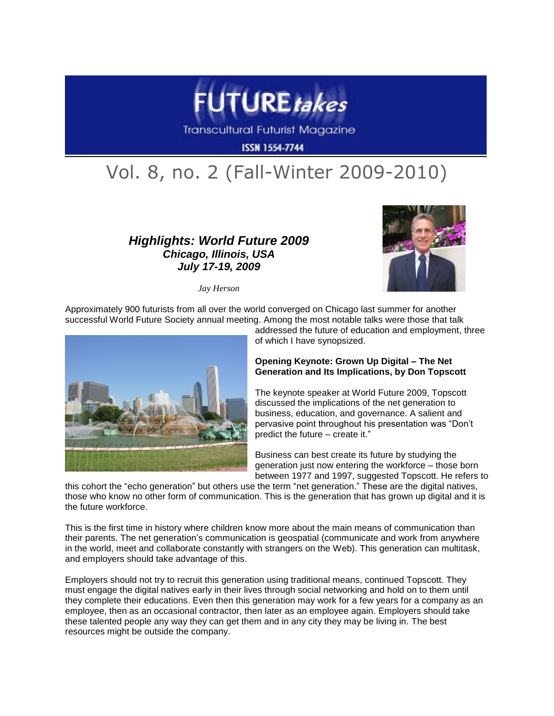

**Transcultural Futurist Magazine** 

**ISSN 1554-7744** 

# Vol. 8, no. 2 (Fall-Winter 2009-2010)

## *Highlights: World Future 2009 Chicago, Illinois, USA July 17-19, 2009*



*Jay Herson*

Approximately 900 futurists from all over the world converged on Chicago last summer for another successful World Future Society annual meeting. Among the most notable talks were those that talk



addressed the future of education and employment, three of which I have synopsized.

#### **Opening Keynote: Grown Up Digital – The Net Generation and Its Implications, by Don Topscott**

The keynote speaker at World Future 2009, Topscott discussed the implications of the net generation to business, education, and governance. A salient and pervasive point throughout his presentation was "Don't predict the future – create it."

Business can best create its future by studying the generation just now entering the workforce – those born between 1977 and 1997, suggested Topscott. He refers to

this cohort the "echo generation" but others use the term "net generation." These are the digital natives, those who know no other form of communication. This is the generation that has grown up digital and it is the future workforce.

This is the first time in history where children know more about the main means of communication than their parents. The net generation's communication is geospatial (communicate and work from anywhere in the world, meet and collaborate constantly with strangers on the Web). This generation can multitask, and employers should take advantage of this.

Employers should not try to recruit this generation using traditional means, continued Topscott. They must engage the digital natives early in their lives through social networking and hold on to them until they complete their educations. Even then this generation may work for a few years for a company as an employee, then as an occasional contractor, then later as an employee again. Employers should take these talented people any way they can get them and in any city they may be living in. The best resources might be outside the company.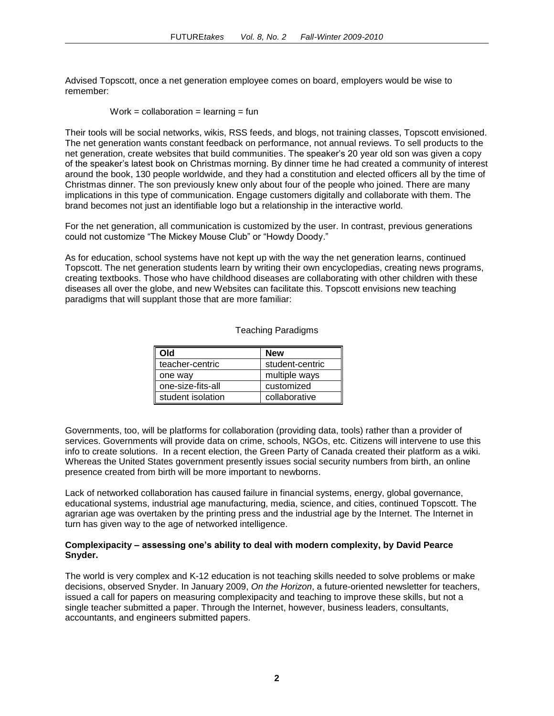Advised Topscott, once a net generation employee comes on board, employers would be wise to remember:

 $Work = collaboration = learning = fun$ 

Their tools will be social networks, wikis, RSS feeds, and blogs, not training classes, Topscott envisioned. The net generation wants constant feedback on performance, not annual reviews. To sell products to the net generation, create websites that build communities. The speaker's 20 year old son was given a copy of the speaker's latest book on Christmas morning. By dinner time he had created a community of interest around the book, 130 people worldwide, and they had a constitution and elected officers all by the time of Christmas dinner. The son previously knew only about four of the people who joined. There are many implications in this type of communication. Engage customers digitally and collaborate with them. The brand becomes not just an identifiable logo but a relationship in the interactive world.

For the net generation, all communication is customized by the user. In contrast, previous generations could not customize "The Mickey Mouse Club" or "Howdy Doody."

As for education, school systems have not kept up with the way the net generation learns, continued Topscott. The net generation students learn by writing their own encyclopedias, creating news programs, creating textbooks. Those who have childhood diseases are collaborating with other children with these diseases all over the globe, and new Websites can facilitate this. Topscott envisions new teaching paradigms that will supplant those that are more familiar:

| Old               | <b>New</b>      |
|-------------------|-----------------|
| teacher-centric   | student-centric |
| one way           | multiple ways   |
| one-size-fits-all | customized      |
| student isolation | collaborative   |

#### Teaching Paradigms

Governments, too, will be platforms for collaboration (providing data, tools) rather than a provider of services. Governments will provide data on crime, schools, NGOs, etc. Citizens will intervene to use this info to create solutions. In a recent election, the Green Party of Canada created their platform as a wiki. Whereas the United States government presently issues social security numbers from birth, an online presence created from birth will be more important to newborns.

Lack of networked collaboration has caused failure in financial systems, energy, global governance, educational systems, industrial age manufacturing, media, science, and cities, continued Topscott. The agrarian age was overtaken by the printing press and the industrial age by the Internet. The Internet in turn has given way to the age of networked intelligence.

### **Complexipacity – assessing one's ability to deal with modern complexity, by David Pearce Snyder.**

The world is very complex and K-12 education is not teaching skills needed to solve problems or make decisions, observed Snyder. In January 2009, *On the Horizon*, a future-oriented newsletter for teachers, issued a call for papers on measuring complexipacity and teaching to improve these skills, but not a single teacher submitted a paper. Through the Internet, however, business leaders, consultants, accountants, and engineers submitted papers.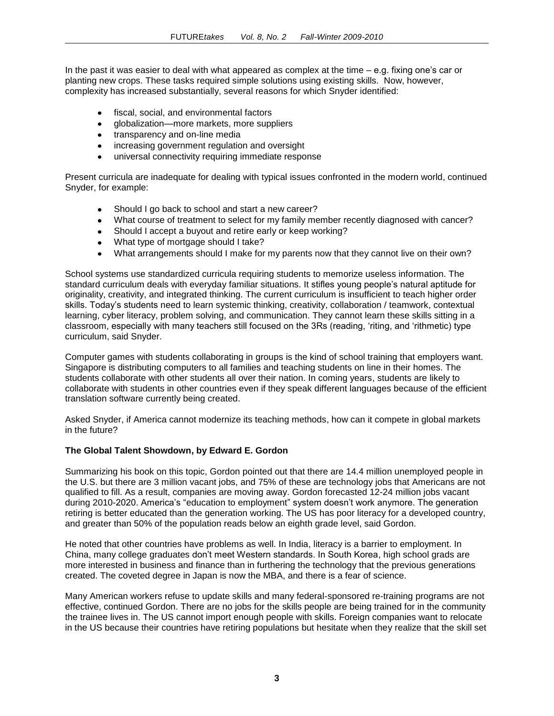In the past it was easier to deal with what appeared as complex at the time – e.g. fixing one's car or planting new crops. These tasks required simple solutions using existing skills. Now, however, complexity has increased substantially, several reasons for which Snyder identified:

- fiscal, social, and environmental factors  $\bullet$
- globalization—more markets, more suppliers  $\bullet$
- $\bullet$ transparency and on-line media
- increasing government regulation and oversight  $\bullet$
- universal connectivity requiring immediate response

Present curricula are inadequate for dealing with typical issues confronted in the modern world, continued Snyder, for example:

- Should I go back to school and start a new career?  $\bullet$
- What course of treatment to select for my family member recently diagnosed with cancer?  $\bullet$
- Should I accept a buyout and retire early or keep working?
- $\bullet$ What type of mortgage should I take?
- What arrangements should I make for my parents now that they cannot live on their own?

School systems use standardized curricula requiring students to memorize useless information. The standard curriculum deals with everyday familiar situations. It stifles young people's natural aptitude for originality, creativity, and integrated thinking. The current curriculum is insufficient to teach higher order skills. Today's students need to learn systemic thinking, creativity, collaboration / teamwork, contextual learning, cyber literacy, problem solving, and communication. They cannot learn these skills sitting in a classroom, especially with many teachers still focused on the 3Rs (reading, 'riting, and 'rithmetic) type curriculum, said Snyder.

Computer games with students collaborating in groups is the kind of school training that employers want. Singapore is distributing computers to all families and teaching students on line in their homes. The students collaborate with other students all over their nation. In coming years, students are likely to collaborate with students in other countries even if they speak different languages because of the efficient translation software currently being created.

Asked Snyder, if America cannot modernize its teaching methods, how can it compete in global markets in the future?

#### **The Global Talent Showdown, by Edward E. Gordon**

Summarizing his book on this topic, Gordon pointed out that there are 14.4 million unemployed people in the U.S. but there are 3 million vacant jobs, and 75% of these are technology jobs that Americans are not qualified to fill. As a result, companies are moving away. Gordon forecasted 12-24 million jobs vacant during 2010-2020. America's "education to employment" system doesn't work anymore. The generation retiring is better educated than the generation working. The US has poor literacy for a developed country, and greater than 50% of the population reads below an eighth grade level, said Gordon.

He noted that other countries have problems as well. In India, literacy is a barrier to employment. In China, many college graduates don't meet Western standards. In South Korea, high school grads are more interested in business and finance than in furthering the technology that the previous generations created. The coveted degree in Japan is now the MBA, and there is a fear of science.

Many American workers refuse to update skills and many federal-sponsored re-training programs are not effective, continued Gordon. There are no jobs for the skills people are being trained for in the community the trainee lives in. The US cannot import enough people with skills. Foreign companies want to relocate in the US because their countries have retiring populations but hesitate when they realize that the skill set